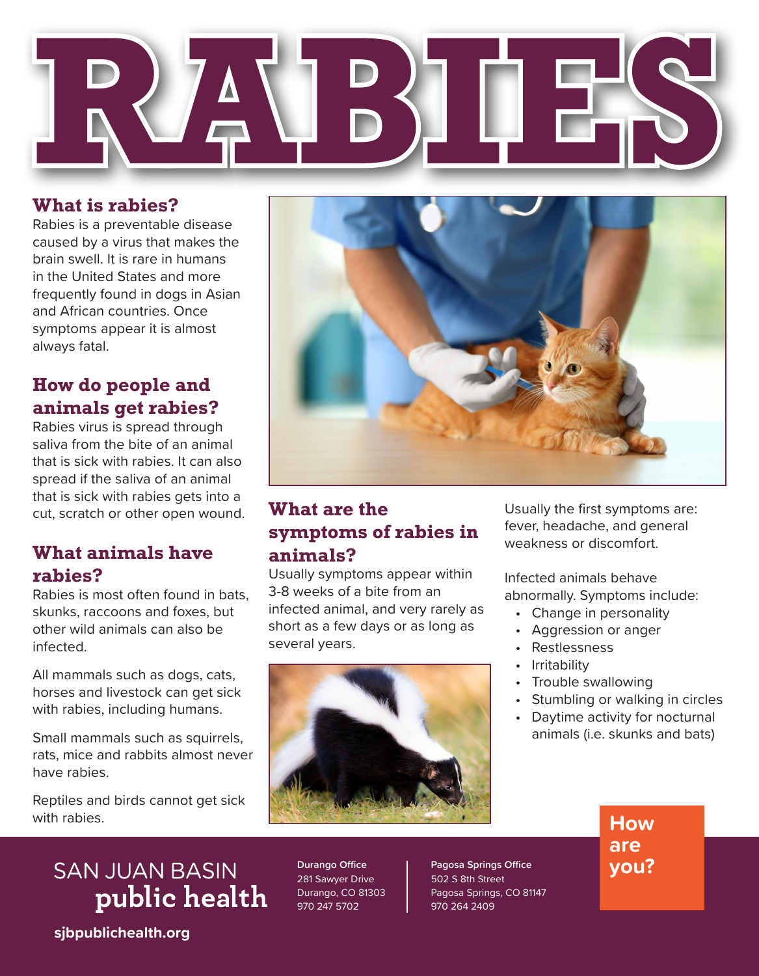

#### **What is rabies?**

Rabies is a preventable disease caused by a virus that makes the brain swell. It is rare in humans in the United States and more frequently found in dogs in Asian and African countries. Once symptoms appear it is almost always fatal.

## **How do people and animals get rabies?**

Rabies virus is spread through saliva from the bite of an animal that is sick with rabies. It can also spread if the saliva of an animal that is sick with rabies gets into a cut, scratch or other open wound.

## **What animals have rabies?**

Rabies is most often found in bats, skunks, raccoons and foxes, but other wild animals can also be infected.

All mammals such as dogs, cats, horses and livestock can get sick with rabies, including humans.

Small mammals such as squirrels, rats, mice and rabbits almost never have rabies.

Reptiles and birds cannot get sick with rabies.



#### **What are the symptoms of rabies in animals?**

Usually symptoms appear within 3-8 weeks of a bite from an infected animal, and very rarely as short as a few days or as long as several years.



Usually the first symptoms are: fever, headache, and general weakness or discomfort.

Infected animals behave abnormally. Symptoms include:

- Change in personality
- Aggression or anger
- Restlessness
- Irritability
- Trouble swallowing
- Stumbling or walking in circles
- Daytime activity for nocturnal animals (i.e. skunks and bats)

**SAN JUAN BASIN** public health

**Durango Office** 281 Sawyer Drive Durango, CO 81303 970 247 5702

**Pagosa Springs Office** 502 S 8th Street Pagosa Springs, CO 81147 970 264 2409

**How are you?**

**sjbpublichealth.org**